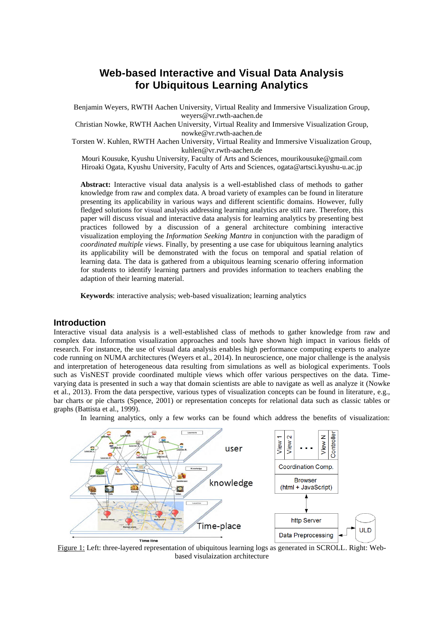# **Web-based Interactive and Visual Data Analysis for Ubiquitous Learning Analytics**

Benjamin Weyers, RWTH Aachen University, Virtual Reality and Immersive Visualization Group, weyers@vr.rwth-aachen.de

Christian Nowke, RWTH Aachen University, Virtual Reality and Immersive Visualization Group, nowke@vr.rwth-aachen.de

Torsten W. Kuhlen, RWTH Aachen University, Virtual Reality and Immersive Visualization Group, kuhlen@vr.rwth-aachen.de

Mouri Kousuke, Kyushu University, Faculty of Arts and Sciences, mourikousuke@gmail.com Hiroaki Ogata, Kyushu University, Faculty of Arts and Sciences, ogata@artsci.kyushu-u.ac.jp

**Abstract:** Interactive visual data analysis is a well-established class of methods to gather knowledge from raw and complex data. A broad variety of examples can be found in literature presenting its applicability in various ways and different scientific domains. However, fully fledged solutions for visual analysis addressing learning analytics are still rare. Therefore, this paper will discuss visual and interactive data analysis for learning analytics by presenting best practices followed by a discussion of a general architecture combining interactive visualization employing the *Information Seeking Mantra* in conjunction with the paradigm of *coordinated multiple views*. Finally, by presenting a use case for ubiquitous learning analytics its applicability will be demonstrated with the focus on temporal and spatial relation of learning data. The data is gathered from a ubiquitous learning scenario offering information for students to identify learning partners and provides information to teachers enabling the adaption of their learning material.

**Keywords**: interactive analysis; web-based visualization; learning analytics

# **Introduction**

Interactive visual data analysis is a well-established class of methods to gather knowledge from raw and complex data. Information visualization approaches and tools have shown high impact in various fields of research. For instance, the use of visual data analysis enables high performance computing experts to analyze code running on NUMA architectures (Weyers et al., 2014). In neuroscience, one major challenge is the analysis and interpretation of heterogeneous data resulting from simulations as well as biological experiments. Tools such as VisNEST provide coordinated multiple views which offer various perspectives on the data. Timevarying data is presented in such a way that domain scientists are able to navigate as well as analyze it (Nowke et al., 2013). From the data perspective, various types of visualization concepts can be found in literature, e.g., bar charts or pie charts (Spence, 2001) or representation concepts for relational data such as classic tables or graphs (Battista et al., 1999).

In learning analytics, only a few works can be found which address the benefits of visualization:



Figure 1: Left: three-layered representation of ubiquitous learning logs as generated in SCROLL. Right: Webbased visulaization architecture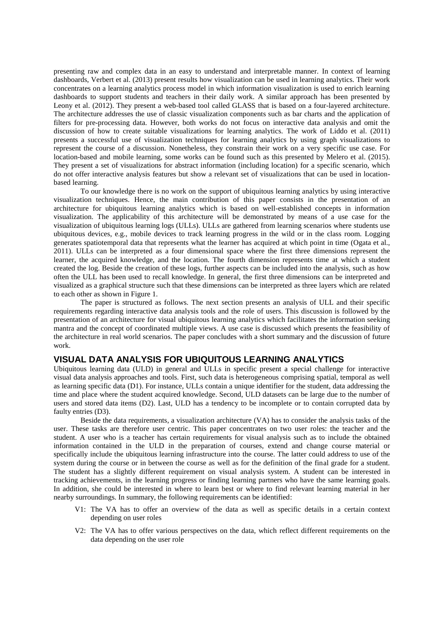presenting raw and complex data in an easy to understand and interpretable manner. In context of learning dashboards, Verbert et al. (2013) present results how visualization can be used in learning analytics. Their work concentrates on a learning analytics process model in which information visualization is used to enrich learning dashboards to support students and teachers in their daily work. A similar approach has been presented by Leony et al. (2012). They present a web-based tool called GLASS that is based on a four-layered architecture. The architecture addresses the use of classic visualization components such as bar charts and the application of filters for pre-processing data. However, both works do not focus on interactive data analysis and omit the discussion of how to create suitable visualizations for learning analytics. The work of Liddo et al. (2011) presents a successful use of visualization techniques for learning analytics by using graph visualizations to represent the course of a discussion. Nonetheless, they constrain their work on a very specific use case. For location-based and mobile learning, some works can be found such as this presented by Melero et al. (2015). They present a set of visualizations for abstract information (including location) for a specific scenario, which do not offer interactive analysis features but show a relevant set of visualizations that can be used in locationbased learning.

To our knowledge there is no work on the support of ubiquitous learning analytics by using interactive visualization techniques. Hence, the main contribution of this paper consists in the presentation of an architecture for ubiquitous learning analytics which is based on well-established concepts in information visualization. The applicability of this architecture will be demonstrated by means of a use case for the visualization of ubiquitous learning logs (ULLs). ULLs are gathered from learning scenarios where students use ubiquitous devices, e.g., mobile devices to track learning progress in the wild or in the class room. Logging generates spatiotemporal data that represents what the learner has acquired at which point in time (Ogata et al., 2011). ULLs can be interpreted as a four dimensional space where the first three dimensions represent the learner, the acquired knowledge, and the location. The fourth dimension represents time at which a student created the log. Beside the creation of these logs, further aspects can be included into the analysis, such as how often the ULL has been used to recall knowledge. In general, the first three dimensions can be interpreted and visualized as a graphical structure such that these dimensions can be interpreted as three layers which are related to each other as shown in Figure 1.

The paper is structured as follows. The next section presents an analysis of ULL and their specific requirements regarding interactive data analysis tools and the role of users. This discussion is followed by the presentation of an architecture for visual ubiquitous learning analytics which facilitates the information seeking mantra and the concept of coordinated multiple views. A use case is discussed which presents the feasibility of the architecture in real world scenarios. The paper concludes with a short summary and the discussion of future work.

#### **VISUAL DATA ANALYSIS FOR UBIQUITOUS LEARNING ANALYTICS**

Ubiquitous learning data (ULD) in general and ULLs in specific present a special challenge for interactive visual data analysis approaches and tools. First, such data is heterogeneous comprising spatial, temporal as well as learning specific data (D1). For instance, ULLs contain a unique identifier for the student, data addressing the time and place where the student acquired knowledge. Second, ULD datasets can be large due to the number of users and stored data items (D2). Last, ULD has a tendency to be incomplete or to contain corrupted data by faulty entries (D3).

Beside the data requirements, a visualization architecture (VA) has to consider the analysis tasks of the user. These tasks are therefore user centric. This paper concentrates on two user roles: the teacher and the student. A user who is a teacher has certain requirements for visual analysis such as to include the obtained information contained in the ULD in the preparation of courses, extend and change course material or specifically include the ubiquitous learning infrastructure into the course. The latter could address to use of the system during the course or in between the course as well as for the definition of the final grade for a student. The student has a slightly different requirement on visual analysis system. A student can be interested in tracking achievements, in the learning progress or finding learning partners who have the same learning goals. In addition, she could be interested in where to learn best or where to find relevant learning material in her nearby surroundings. In summary, the following requirements can be identified:

- V1: The VA has to offer an overview of the data as well as specific details in a certain context depending on user roles
- V2: The VA has to offer various perspectives on the data, which reflect different requirements on the data depending on the user role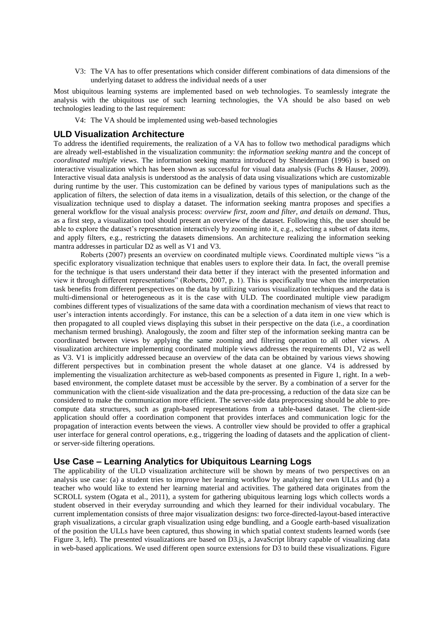V3: The VA has to offer presentations which consider different combinations of data dimensions of the underlying dataset to address the individual needs of a user

Most ubiquitous learning systems are implemented based on web technologies. To seamlessly integrate the analysis with the ubiquitous use of such learning technologies, the VA should be also based on web technologies leading to the last requirement:

V4: The VA should be implemented using web-based technologies

#### **ULD Visualization Architecture**

To address the identified requirements, the realization of a VA has to follow two methodical paradigms which are already well-established in the visualization community: the *information seeking mantra* and the concept of *coordinated multiple views*. The information seeking mantra introduced by Shneiderman (1996) is based on interactive visualization which has been shown as successful for visual data analysis (Fuchs & Hauser, 2009). Interactive visual data analysis is understood as the analysis of data using visualizations which are customizable during runtime by the user. This customization can be defined by various types of manipulations such as the application of filters, the selection of data items in a visualization, details of this selection, or the change of the visualization technique used to display a dataset. The information seeking mantra proposes and specifies a general workflow for the visual analysis process: *overview first, zoom and filter, and details on demand*. Thus, as a first step, a visualization tool should present an overview of the dataset. Following this, the user should be able to explore the dataset's representation interactively by zooming into it, e.g., selecting a subset of data items, and apply filters, e.g., restricting the datasets dimensions. An architecture realizing the information seeking mantra addresses in particular D2 as well as V1 and V3.

Roberts (2007) presents an overview on coordinated multiple views. Coordinated multiple views "is a specific exploratory visualization technique that enables users to explore their data. In fact, the overall premise for the technique is that users understand their data better if they interact with the presented information and view it through different representations" (Roberts, 2007, p. 1). This is specifically true when the interpretation task benefits from different perspectives on the data by utilizing various visualization techniques and the data is multi-dimensional or heterogeneous as it is the case with ULD. The coordinated multiple view paradigm combines different types of visualizations of the same data with a coordination mechanism of views that react to user's interaction intents accordingly. For instance, this can be a selection of a data item in one view which is then propagated to all coupled views displaying this subset in their perspective on the data (i.e., a coordination mechanism termed brushing). Analogously, the zoom and filter step of the information seeking mantra can be coordinated between views by applying the same zooming and filtering operation to all other views. A visualization architecture implementing coordinated multiple views addresses the requirements D1, V2 as well as V3. V1 is implicitly addressed because an overview of the data can be obtained by various views showing different perspectives but in combination present the whole dataset at one glance. V4 is addressed by implementing the visualization architecture as web-based components as presented in Figure 1, right. In a webbased environment, the complete dataset must be accessible by the server. By a combination of a server for the communication with the client-side visualization and the data pre-processing, a reduction of the data size can be considered to make the communication more efficient. The server-side data preprocessing should be able to precompute data structures, such as graph-based representations from a table-based dataset. The client-side application should offer a coordination component that provides interfaces and communication logic for the propagation of interaction events between the views. A controller view should be provided to offer a graphical user interface for general control operations, e.g., triggering the loading of datasets and the application of clientor server-side filtering operations.

## **Use Case – Learning Analytics for Ubiquitous Learning Logs**

The applicability of the ULD visualization architecture will be shown by means of two perspectives on an analysis use case: (a) a student tries to improve her learning workflow by analyzing her own ULLs and (b) a teacher who would like to extend her learning material and activities. The gathered data originates from the SCROLL system (Ogata et al., 2011), a system for gathering ubiquitous learning logs which collects words a student observed in their everyday surrounding and which they learned for their individual vocabulary. The current implementation consists of three major visualization designs: two force-directed-layout-based interactive graph visualizations, a circular graph visualization using edge bundling, and a Google earth-based visualization of the position the ULLs have been captured, thus showing in which spatial context students learned words (see Figure 3, left). The presented visualizations are based on D3.js, a JavaScript library capable of visualizing data in web-based applications. We used different open source extensions for D3 to build these visualizations. Figure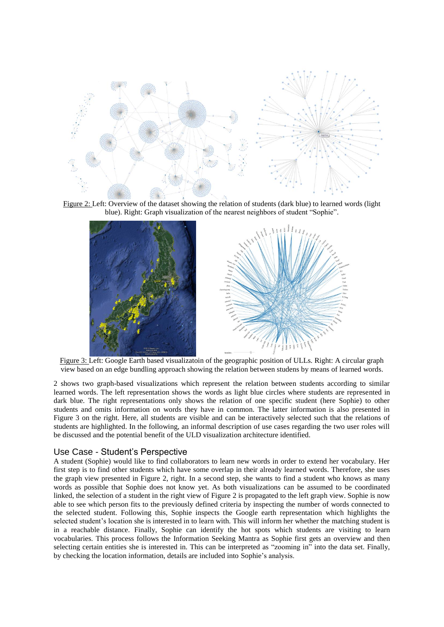

Figure 2: Left: Overview of the dataset showing the relation of students (dark blue) to learned words (light blue). Right: Graph visualization of the nearest neighbors of student "Sophie".



Figure 3: Left: Google Earth based visualizatoin of the geographic position of ULLs. Right: A circular graph view based on an edge bundling approach showing the relation between studens by means of learned words.

2 shows two graph-based visualizations which represent the relation between students according to similar learned words. The left representation shows the words as light blue circles where students are represented in dark blue. The right representations only shows the relation of one specific student (here Sophie) to other students and omits information on words they have in common. The latter information is also presented in Figure 3 on the right. Here, all students are visible and can be interactively selected such that the relations of students are highlighted. In the following, an informal description of use cases regarding the two user roles will be discussed and the potential benefit of the ULD visualization architecture identified.

## Use Case - Student's Perspective

A student (Sophie) would like to find collaborators to learn new words in order to extend her vocabulary. Her first step is to find other students which have some overlap in their already learned words. Therefore, she uses the graph view presented in Figure 2, right. In a second step, she wants to find a student who knows as many words as possible that Sophie does not know yet. As both visualizations can be assumed to be coordinated linked, the selection of a student in the right view of Figure 2 is propagated to the left graph view. Sophie is now able to see which person fits to the previously defined criteria by inspecting the number of words connected to the selected student. Following this, Sophie inspects the Google earth representation which highlights the selected student's location she is interested in to learn with. This will inform her whether the matching student is in a reachable distance. Finally, Sophie can identify the hot spots which students are visiting to learn vocabularies. This process follows the Information Seeking Mantra as Sophie first gets an overview and then selecting certain entities she is interested in. This can be interpreted as "zooming in" into the data set. Finally, by checking the location information, details are included into Sophie's analysis.